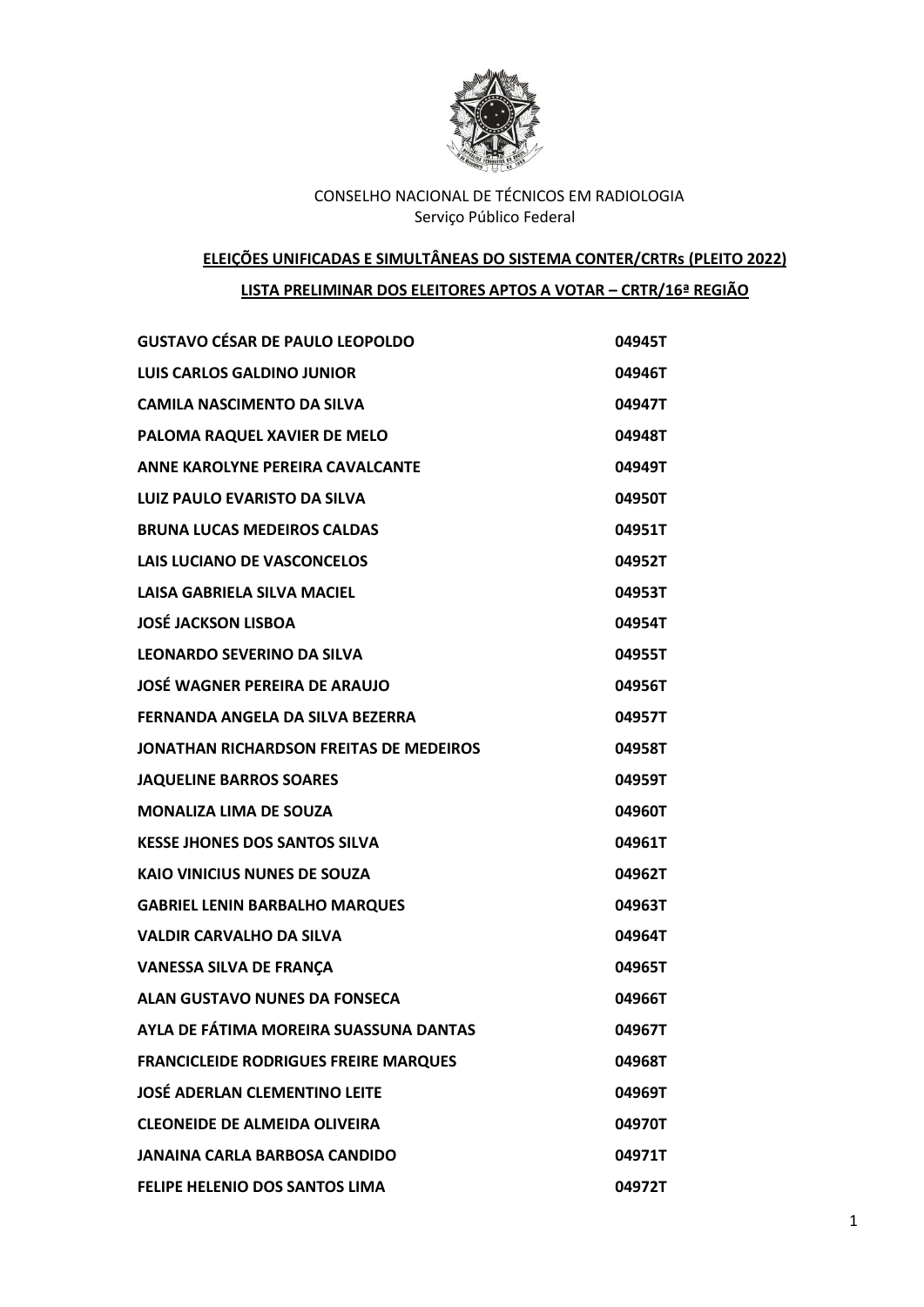

# **ELEIÇÕES UNIFICADAS E SIMULTÂNEAS DO SISTEMA CONTER/CRTRs (PLEITO 2022)**

## **LISTA PRELIMINAR DOS ELEITORES APTOS A VOTAR – CRTR/16ª REGIÃO**

| <b>GUSTAVO CÉSAR DE PAULO LEOPOLDO</b>       | 04945T |
|----------------------------------------------|--------|
| <b>LUIS CARLOS GALDINO JUNIOR</b>            | 04946T |
| <b>CAMILA NASCIMENTO DA SILVA</b>            | 04947T |
| PALOMA RAQUEL XAVIER DE MELO                 | 04948T |
| <b>ANNE KAROLYNE PEREIRA CAVALCANTE</b>      | 04949T |
| <b>LUIZ PAULO EVARISTO DA SILVA</b>          | 04950T |
| <b>BRUNA LUCAS MEDEIROS CALDAS</b>           | 04951T |
| LAIS LUCIANO DE VASCONCELOS                  | 04952T |
| <b>LAISA GABRIELA SILVA MACIEL</b>           | 04953T |
| <b>JOSÉ JACKSON LISBOA</b>                   | 04954T |
| <b>LEONARDO SEVERINO DA SILVA</b>            | 04955T |
| <b>JOSÉ WAGNER PEREIRA DE ARAUJO</b>         | 04956T |
| FERNANDA ANGELA DA SILVA BEZERRA             | 04957T |
| JONATHAN RICHARDSON FREITAS DE MEDEIROS      | 04958T |
| <b>JAQUELINE BARROS SOARES</b>               | 04959T |
| <b>MONALIZA LIMA DE SOUZA</b>                | 04960T |
| <b>KESSE JHONES DOS SANTOS SILVA</b>         | 04961T |
| <b>KAIO VINICIUS NUNES DE SOUZA</b>          | 04962T |
| <b>GABRIEL LENIN BARBALHO MARQUES</b>        | 04963T |
| <b>VALDIR CARVALHO DA SILVA</b>              | 04964T |
| <b>VANESSA SILVA DE FRANÇA</b>               | 04965T |
| <b>ALAN GUSTAVO NUNES DA FONSECA</b>         | 04966T |
| AYLA DE FÁTIMA MOREIRA SUASSUNA DANTAS       | 04967T |
| <b>FRANCICLEIDE RODRIGUES FREIRE MARQUES</b> | 04968T |
| <b>JOSÉ ADERLAN CLEMENTINO LEITE</b>         | 04969T |
| <b>CLEONEIDE DE ALMEIDA OLIVEIRA</b>         | 04970T |
| <b>JANAINA CARLA BARBOSA CANDIDO</b>         | 04971T |
| FELIPE HELENIO DOS SANTOS LIMA               | 04972T |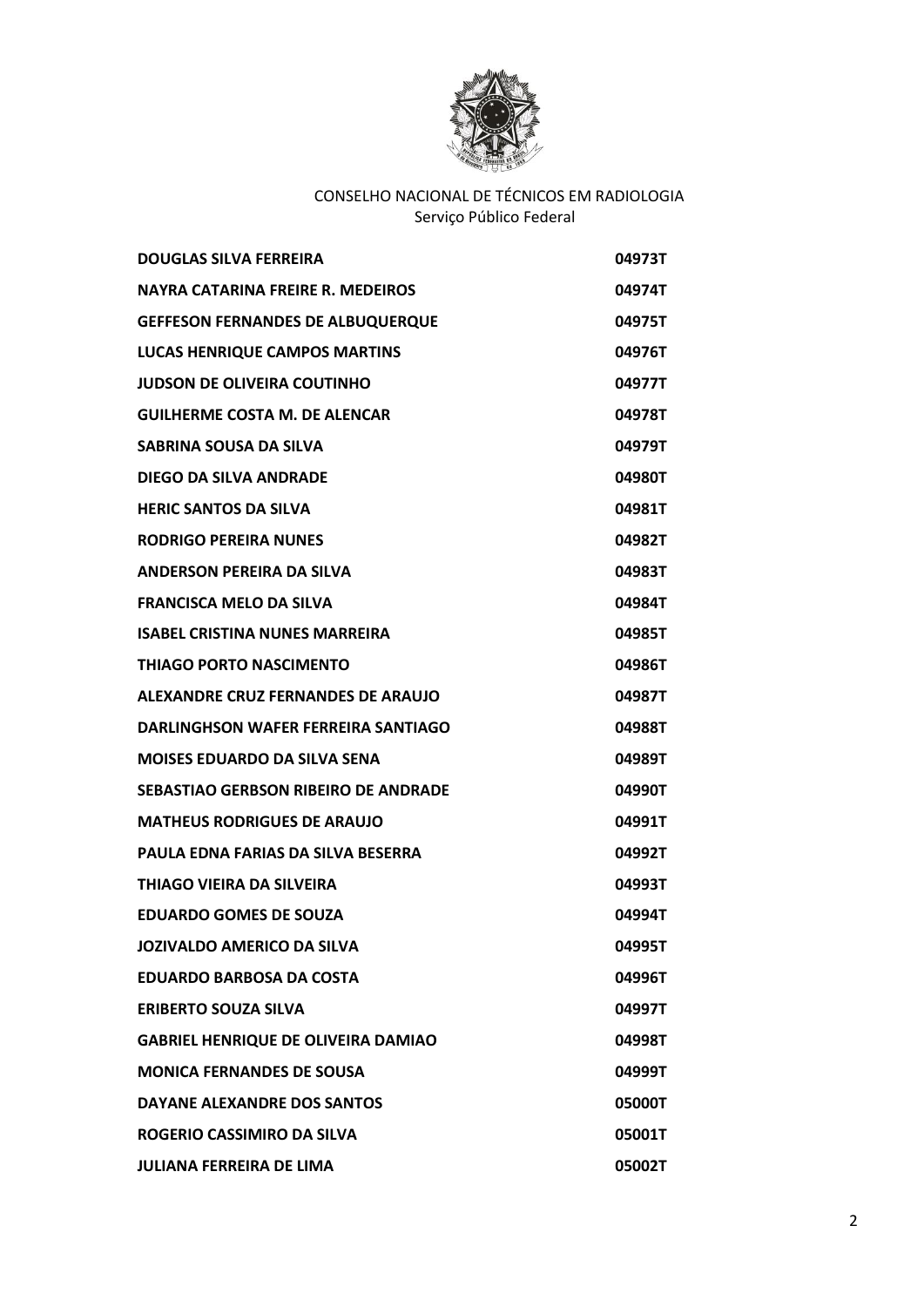

| <b>DOUGLAS SILVA FERREIRA</b>              | 04973T |
|--------------------------------------------|--------|
| NAYRA CATARINA FREIRE R. MEDEIROS          | 04974T |
| <b>GEFFESON FERNANDES DE ALBUQUERQUE</b>   | 04975T |
| <b>LUCAS HENRIQUE CAMPOS MARTINS</b>       | 04976T |
| <b>JUDSON DE OLIVEIRA COUTINHO</b>         | 04977T |
| <b>GUILHERME COSTA M. DE ALENCAR</b>       | 04978T |
| SABRINA SOUSA DA SILVA                     | 04979T |
| <b>DIEGO DA SILVA ANDRADE</b>              | 04980T |
| <b>HERIC SANTOS DA SILVA</b>               | 04981T |
| <b>RODRIGO PEREIRA NUNES</b>               | 04982T |
| ANDERSON PEREIRA DA SILVA                  | 04983T |
| <b>FRANCISCA MELO DA SILVA</b>             | 04984T |
| <b>ISABEL CRISTINA NUNES MARREIRA</b>      | 04985T |
| <b>THIAGO PORTO NASCIMENTO</b>             | 04986T |
| ALEXANDRE CRUZ FERNANDES DE ARAUJO         | 04987T |
| DARLINGHSON WAFER FERREIRA SANTIAGO        | 04988T |
| MOISES EDUARDO DA SILVA SENA               | 04989T |
| SEBASTIAO GERBSON RIBEIRO DE ANDRADE       | 04990T |
| <b>MATHEUS RODRIGUES DE ARAUJO</b>         | 04991T |
| <b>PAULA EDNA FARIAS DA SILVA BESERRA</b>  | 04992T |
| <b>THIAGO VIEIRA DA SILVEIRA</b>           | 04993T |
| <b>EDUARDO GOMES DE SOUZA</b>              | 04994T |
| JOZIVALDO AMERICO DA SILVA                 | 04995T |
| <b>EDUARDO BARBOSA DA COSTA</b>            | 04996T |
| <b>ERIBERTO SOUZA SILVA</b>                | 04997T |
| <b>GABRIEL HENRIQUE DE OLIVEIRA DAMIAO</b> | 04998T |
| <b>MONICA FERNANDES DE SOUSA</b>           | 04999T |
| DAYANE ALEXANDRE DOS SANTOS                | 05000T |
| ROGERIO CASSIMIRO DA SILVA                 | 05001T |
| <b>JULIANA FERREIRA DE LIMA</b>            | 05002T |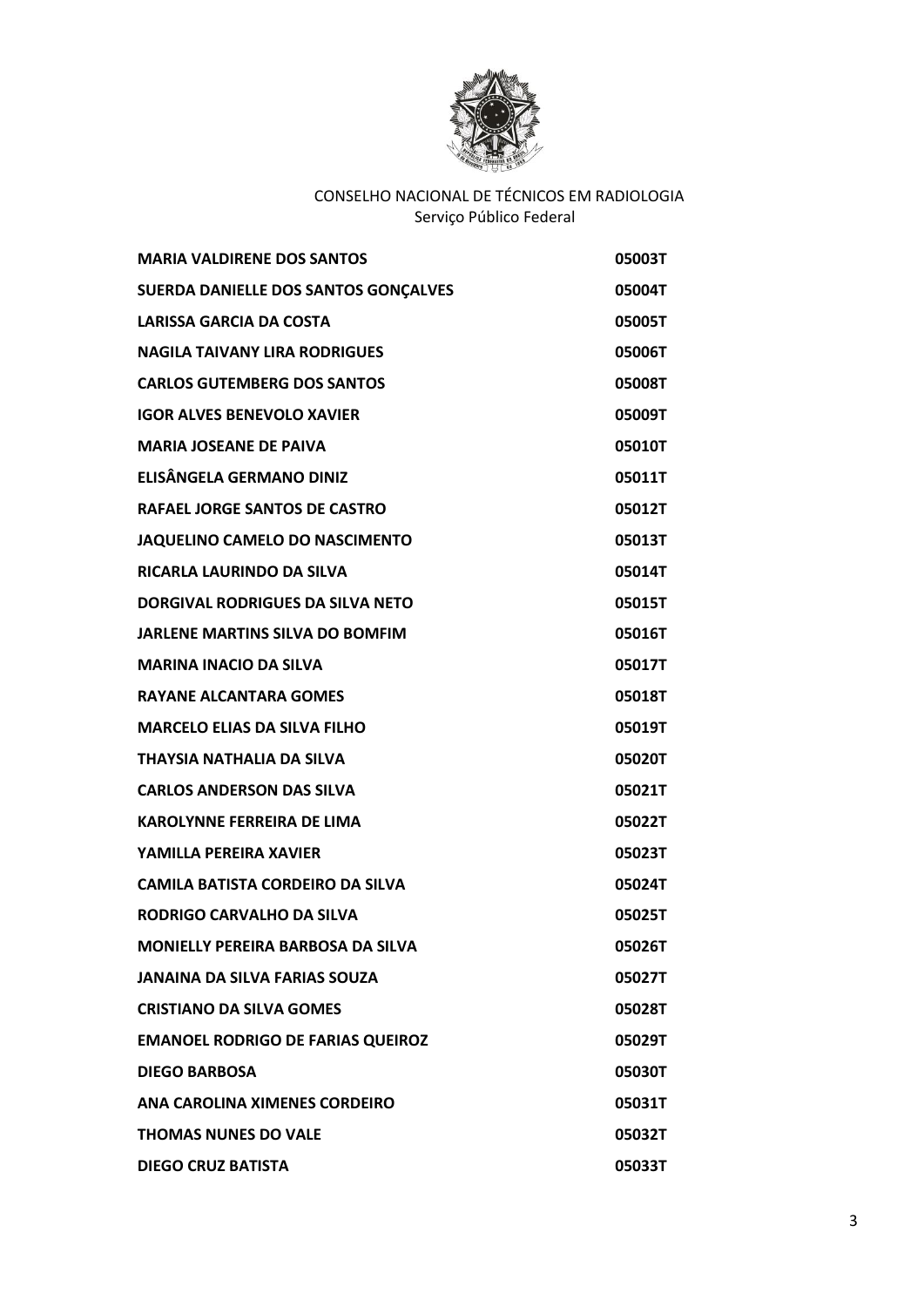

| <b>MARIA VALDIRENE DOS SANTOS</b>        | 05003T |
|------------------------------------------|--------|
| SUERDA DANIELLE DOS SANTOS GONÇALVES     | 05004T |
| <b>LARISSA GARCIA DA COSTA</b>           | 05005T |
| <b>NAGILA TAIVANY LIRA RODRIGUES</b>     | 05006T |
| <b>CARLOS GUTEMBERG DOS SANTOS</b>       | 05008T |
| <b>IGOR ALVES BENEVOLO XAVIER</b>        | 05009T |
| <b>MARIA JOSEANE DE PAIVA</b>            | 05010T |
| <b>ELISÂNGELA GERMANO DINIZ</b>          | 05011T |
| RAFAEL JORGE SANTOS DE CASTRO            | 05012T |
| JAQUELINO CAMELO DO NASCIMENTO           | 05013T |
| RICARLA LAURINDO DA SILVA                | 05014T |
| DORGIVAL RODRIGUES DA SILVA NETO         | 05015T |
| <b>JARLENE MARTINS SILVA DO BOMFIM</b>   | 05016T |
| <b>MARINA INACIO DA SILVA</b>            | 05017T |
| <b>RAYANE ALCANTARA GOMES</b>            | 05018T |
| <b>MARCELO ELIAS DA SILVA FILHO</b>      | 05019T |
| <b>THAYSIA NATHALIA DA SILVA</b>         | 05020T |
| <b>CARLOS ANDERSON DAS SILVA</b>         | 05021T |
| <b>KAROLYNNE FERREIRA DE LIMA</b>        | 05022T |
| YAMILLA PEREIRA XAVIER                   | 05023T |
| <b>CAMILA BATISTA CORDEIRO DA SILVA</b>  | 05024T |
| RODRIGO CARVALHO DA SILVA                | 05025T |
| <b>MONIELLY PEREIRA BARBOSA DA SILVA</b> | 05026T |
| <b>JANAINA DA SILVA FARIAS SOUZA</b>     | 05027T |
| <b>CRISTIANO DA SILVA GOMES</b>          | 05028T |
| <b>EMANOEL RODRIGO DE FARIAS QUEIROZ</b> | 05029T |
| <b>DIEGO BARBOSA</b>                     | 05030T |
| ANA CAROLINA XIMENES CORDEIRO            | 05031T |
| <b>THOMAS NUNES DO VALE</b>              | 05032T |
| <b>DIEGO CRUZ BATISTA</b>                | 05033T |